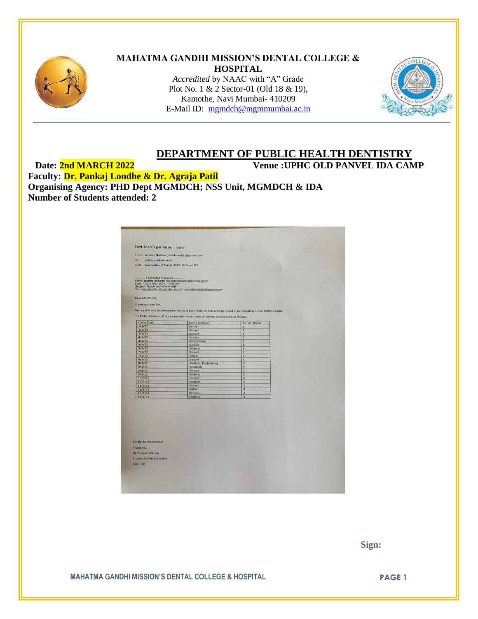

#### **MAHATMA GANDHI MISSION'S DENTAL COLLEGE & HOSPITAL** *Accredited* by NAAC with "A" Grade Plot No. 1 & 2 Sector-01 (Old 18 & 19), Kamothe, Navi Mumbai- 410209

E-Mail ID: [mgmdch@mgmmumbai.ac.in](mailto:mgmdch@mgmmumbai.ac.in)



# **DEPARTMENT OF PUBLIC HEALTH DENTISTRY**

**Date: 2nd MARCH 2022 Venue :UPHC OLD PANVEL IDA CAMP**

**Faculty: Dr. Pankaj Londhe & Dr. Agraja Patil Organising Agency: PHD Dept MGMDCH; NSS Unit, MGMDCH & IDA Number of Students attended: 2**

| Fwd: March permission letter                                                                       |                                                                                                               |                         |  |
|----------------------------------------------------------------------------------------------------|---------------------------------------------------------------------------------------------------------------|-------------------------|--|
| From: Vaibhav Thakkar (drvaibhav.h32@gmail.com)                                                    |                                                                                                               |                         |  |
| To:<br>phd_mgm@yahoo.in                                                                            |                                                                                                               |                         |  |
| Date: Wednesday, 9 March, 2022, 10:36 am IST                                                       |                                                                                                               |                         |  |
|                                                                                                    |                                                                                                               |                         |  |
| - Forwarded message -<br>From: aparna kokode <aparnakokode10@gmail.com></aparnakokode10@gmail.com> |                                                                                                               |                         |  |
| Date: Tue, 8 Mar, 2022, 12:58 pm<br>Subject: March permission letter                               | To: <mumdch@mummumbai.ac.in>, <drvaibhav.h32@gmail.com></drvaibhav.h32@gmail.com></mumdch@mummumbai.ac.in>    |                         |  |
| Dear Ma'am/Sir,                                                                                    |                                                                                                               |                         |  |
|                                                                                                    |                                                                                                               |                         |  |
| <b>Greetings from IDA</b>                                                                          |                                                                                                               |                         |  |
|                                                                                                    | We request you to please provide us a list of interns that are interested in participating in the MOCC camps. |                         |  |
|                                                                                                    | The Date, location of the camp and the number of interns required are as follows:                             |                         |  |
| Camp Date                                                                                          | Camp location                                                                                                 | No. of interns          |  |
| 1/3/22                                                                                             | Panvel                                                                                                        | $\overline{\mathbf{z}}$ |  |
| 2/3/22                                                                                             | Panvel                                                                                                        | $\overline{2}$          |  |
| 3/3/22                                                                                             | panvel                                                                                                        | $\overline{2}$          |  |
| 4/3/22                                                                                             | Panvel                                                                                                        | $\overline{\mathbf{z}}$ |  |
| 4/3/22                                                                                             | Kanjurmarg                                                                                                    | $\overline{\mathbf{z}}$ |  |
| 5/3/22                                                                                             | panvel                                                                                                        | $\overline{2}$          |  |
| 5/3/22                                                                                             | Mulund                                                                                                        | 3                       |  |
| 7/3/22                                                                                             | Panvel                                                                                                        | $\overline{2}$          |  |
| 7/3/22                                                                                             | Powai                                                                                                         | $\overline{\mathbf{3}}$ |  |
| B/3/22                                                                                             | panvel<br>Mulund, Kanjurmarg                                                                                  | 1<br>$\overline{2}$     |  |
| 8/3/22<br>8/3/22                                                                                   | Sakinaka                                                                                                      | $\overline{\mathbf{3}}$ |  |
| 9/3/22                                                                                             | Panvel                                                                                                        | $\overline{2}$          |  |
| 9/3/22                                                                                             | Mulund                                                                                                        | $\overline{\mathbf{3}}$ |  |
| 10/3/22                                                                                            | Panvel                                                                                                        | $\overline{z}$          |  |
| 10/3/22                                                                                            | Mulund                                                                                                        | $\overline{\mathbf{3}}$ |  |
| 11/3/22                                                                                            | Panvel                                                                                                        | $\overline{z}$          |  |
| 11/3/22                                                                                            | Nahur                                                                                                         | $\overline{3}$          |  |
| 15/3/22                                                                                            | Panvel                                                                                                        | $\overline{2}$          |  |
| 15/3/22                                                                                            | Mulund                                                                                                        | $\overline{\mathbf{3}}$ |  |
|                                                                                                    |                                                                                                               |                         |  |
|                                                                                                    |                                                                                                               |                         |  |
|                                                                                                    |                                                                                                               |                         |  |
|                                                                                                    |                                                                                                               |                         |  |
|                                                                                                    |                                                                                                               |                         |  |
|                                                                                                    |                                                                                                               |                         |  |
|                                                                                                    |                                                                                                               |                         |  |
|                                                                                                    |                                                                                                               |                         |  |
|                                                                                                    |                                                                                                               |                         |  |
|                                                                                                    |                                                                                                               |                         |  |
| Kindly do the needful                                                                              |                                                                                                               |                         |  |
| Thank you                                                                                          |                                                                                                               |                         |  |
| Dr. Aparna Kokode                                                                                  |                                                                                                               |                         |  |
|                                                                                                    |                                                                                                               |                         |  |
| <b>Project Admin Executive</b>                                                                     |                                                                                                               |                         |  |
| IDA (HO)                                                                                           |                                                                                                               |                         |  |
|                                                                                                    |                                                                                                               |                         |  |
|                                                                                                    |                                                                                                               |                         |  |
|                                                                                                    |                                                                                                               |                         |  |

 **Sign:**

**MAHATMA GANDHI MISSION'S DENTAL COLLEGE & HOSPITAL PAGE 1**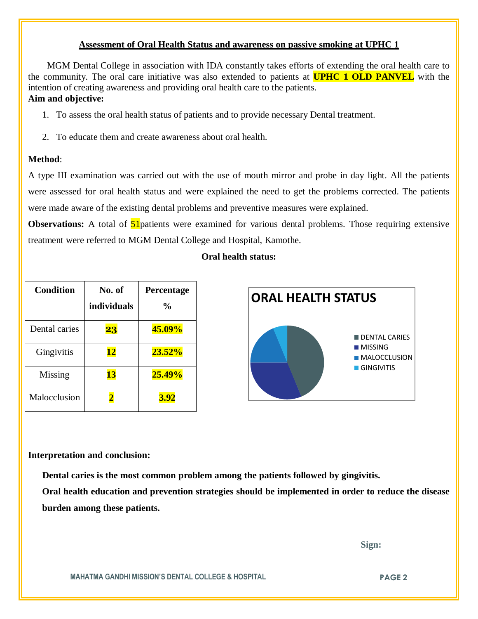### **Assessment of Oral Health Status and awareness on passive smoking at UPHC 1**

 MGM Dental College in association with IDA constantly takes efforts of extending the oral health care to the community. The oral care initiative was also extended to patients at **UPHC 1 OLD PANVEL** with the intention of creating awareness and providing oral health care to the patients. **Aim and objective:**

# 1. To assess the oral health status of patients and to provide necessary Dental treatment.

2. To educate them and create awareness about oral health.

# **Method**:

A type III examination was carried out with the use of mouth mirror and probe in day light. All the patients were assessed for oral health status and were explained the need to get the problems corrected. The patients were made aware of the existing dental problems and preventive measures were explained.

**Observations:** A total of **51** patients were examined for various dental problems. Those requiring extensive treatment were referred to MGM Dental College and Hospital, Kamothe.

| <b>Oral health status:</b> |  |
|----------------------------|--|
|----------------------------|--|

| <b>Condition</b> | No. of<br><i>individuals</i> | Percentage<br>$\frac{0}{0}$ | <b>ORAL HEALTH STATUS</b>      |
|------------------|------------------------------|-----------------------------|--------------------------------|
| Dental caries    | 23                           | 45.09%                      | <b>DENTAL CARIES</b>           |
| Gingivitis       | <u> 12</u>                   | $23.52\%$                   | MISSING<br><b>MALOCCLUSION</b> |
| Missing          | 13                           | $25.49\%$                   | <b>GINGIVITIS</b>              |
| Malocclusion     | $\overline{\mathbf{2}}$      | 3.92                        |                                |

#### **Interpretation and conclusion:**

 **Dental caries is the most common problem among the patients followed by gingivitis.**

**Oral health education and prevention strategies should be implemented in order to reduce the disease burden among these patients.**

 **Sign:**

**MAHATMA GANDHI MISSION'S DENTAL COLLEGE & HOSPITAL PAGE 2**